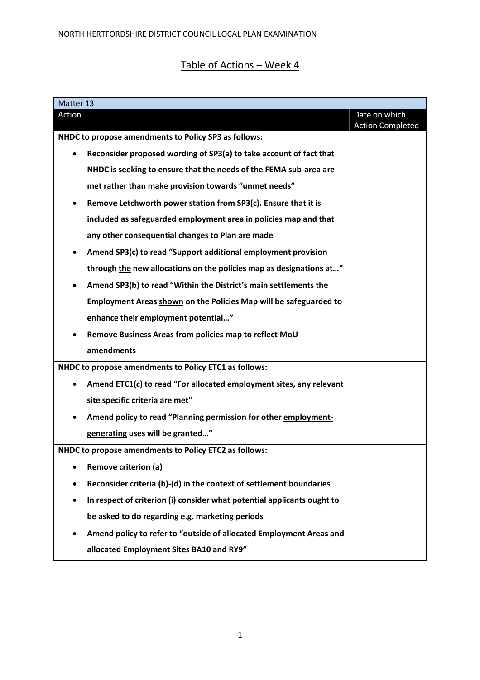## Table of Actions – Week 4

| Matter 13                                             |                                                                         |                                          |  |  |
|-------------------------------------------------------|-------------------------------------------------------------------------|------------------------------------------|--|--|
| Action                                                |                                                                         | Date on which<br><b>Action Completed</b> |  |  |
| NHDC to propose amendments to Policy SP3 as follows:  |                                                                         |                                          |  |  |
|                                                       | Reconsider proposed wording of SP3(a) to take account of fact that      |                                          |  |  |
|                                                       | NHDC is seeking to ensure that the needs of the FEMA sub-area are       |                                          |  |  |
|                                                       | met rather than make provision towards "unmet needs"                    |                                          |  |  |
|                                                       | Remove Letchworth power station from SP3(c). Ensure that it is          |                                          |  |  |
|                                                       | included as safeguarded employment area in policies map and that        |                                          |  |  |
|                                                       | any other consequential changes to Plan are made                        |                                          |  |  |
| ٠                                                     | Amend SP3(c) to read "Support additional employment provision           |                                          |  |  |
|                                                       | through the new allocations on the policies map as designations at"     |                                          |  |  |
|                                                       | Amend SP3(b) to read "Within the District's main settlements the        |                                          |  |  |
|                                                       | Employment Areas shown on the Policies Map will be safeguarded to       |                                          |  |  |
|                                                       | enhance their employment potential"                                     |                                          |  |  |
| ٠                                                     | Remove Business Areas from policies map to reflect MoU                  |                                          |  |  |
|                                                       | amendments                                                              |                                          |  |  |
| NHDC to propose amendments to Policy ETC1 as follows: |                                                                         |                                          |  |  |
| ٠                                                     | Amend ETC1(c) to read "For allocated employment sites, any relevant     |                                          |  |  |
|                                                       | site specific criteria are met"                                         |                                          |  |  |
| $\bullet$                                             | Amend policy to read "Planning permission for other employment-         |                                          |  |  |
|                                                       | generating uses will be granted"                                        |                                          |  |  |
| NHDC to propose amendments to Policy ETC2 as follows: |                                                                         |                                          |  |  |
| $\bullet$                                             | <b>Remove criterion (a)</b>                                             |                                          |  |  |
|                                                       | Reconsider criteria (b)-(d) in the context of settlement boundaries     |                                          |  |  |
| $\bullet$                                             | In respect of criterion (i) consider what potential applicants ought to |                                          |  |  |
|                                                       | be asked to do regarding e.g. marketing periods                         |                                          |  |  |
|                                                       | Amend policy to refer to "outside of allocated Employment Areas and     |                                          |  |  |
|                                                       | allocated Employment Sites BA10 and RY9"                                |                                          |  |  |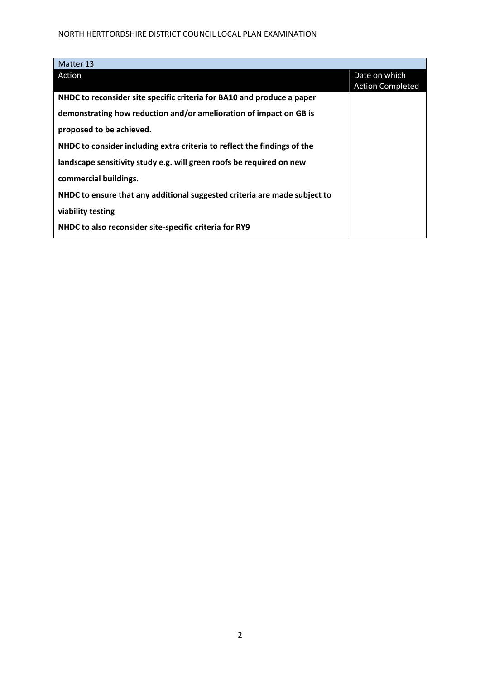## NORTH HERTFORDSHIRE DISTRICT COUNCIL LOCAL PLAN EXAMINATION

| Matter 13                                                                 |                         |
|---------------------------------------------------------------------------|-------------------------|
| Action                                                                    | Date on which           |
|                                                                           | <b>Action Completed</b> |
| NHDC to reconsider site specific criteria for BA10 and produce a paper    |                         |
| demonstrating how reduction and/or amelioration of impact on GB is        |                         |
| proposed to be achieved.                                                  |                         |
| NHDC to consider including extra criteria to reflect the findings of the  |                         |
| landscape sensitivity study e.g. will green roofs be required on new      |                         |
| commercial buildings.                                                     |                         |
| NHDC to ensure that any additional suggested criteria are made subject to |                         |
| viability testing                                                         |                         |
| NHDC to also reconsider site-specific criteria for RY9                    |                         |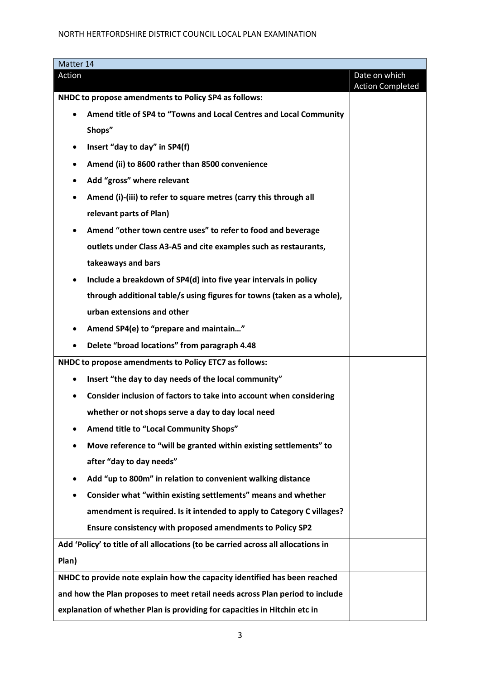| Matter 14                                                                    |                                                                                   |                                          |  |  |
|------------------------------------------------------------------------------|-----------------------------------------------------------------------------------|------------------------------------------|--|--|
| Action                                                                       |                                                                                   | Date on which<br><b>Action Completed</b> |  |  |
| NHDC to propose amendments to Policy SP4 as follows:                         |                                                                                   |                                          |  |  |
| $\bullet$                                                                    | Amend title of SP4 to "Towns and Local Centres and Local Community                |                                          |  |  |
|                                                                              | Shops"                                                                            |                                          |  |  |
| ٠                                                                            | Insert "day to day" in SP4(f)                                                     |                                          |  |  |
| ٠                                                                            | Amend (ii) to 8600 rather than 8500 convenience                                   |                                          |  |  |
|                                                                              | Add "gross" where relevant                                                        |                                          |  |  |
| $\bullet$                                                                    | Amend (i)-(iii) to refer to square metres (carry this through all                 |                                          |  |  |
|                                                                              | relevant parts of Plan)                                                           |                                          |  |  |
|                                                                              | Amend "other town centre uses" to refer to food and beverage                      |                                          |  |  |
|                                                                              | outlets under Class A3-A5 and cite examples such as restaurants,                  |                                          |  |  |
|                                                                              | takeaways and bars                                                                |                                          |  |  |
|                                                                              | Include a breakdown of SP4(d) into five year intervals in policy                  |                                          |  |  |
|                                                                              | through additional table/s using figures for towns (taken as a whole),            |                                          |  |  |
|                                                                              | urban extensions and other                                                        |                                          |  |  |
| $\bullet$                                                                    | Amend SP4(e) to "prepare and maintain"                                            |                                          |  |  |
| $\bullet$                                                                    | Delete "broad locations" from paragraph 4.48                                      |                                          |  |  |
| NHDC to propose amendments to Policy ETC7 as follows:                        |                                                                                   |                                          |  |  |
| $\bullet$                                                                    | Insert "the day to day needs of the local community"                              |                                          |  |  |
| $\bullet$                                                                    | Consider inclusion of factors to take into account when considering               |                                          |  |  |
|                                                                              | whether or not shops serve a day to day local need                                |                                          |  |  |
|                                                                              | Amend title to "Local Community Shops"                                            |                                          |  |  |
|                                                                              | Move reference to "will be granted within existing settlements" to                |                                          |  |  |
|                                                                              | after "day to day needs"                                                          |                                          |  |  |
|                                                                              | Add "up to 800m" in relation to convenient walking distance                       |                                          |  |  |
|                                                                              | Consider what "within existing settlements" means and whether                     |                                          |  |  |
|                                                                              | amendment is required. Is it intended to apply to Category C villages?            |                                          |  |  |
|                                                                              | Ensure consistency with proposed amendments to Policy SP2                         |                                          |  |  |
|                                                                              | Add 'Policy' to title of all allocations (to be carried across all allocations in |                                          |  |  |
| Plan)                                                                        |                                                                                   |                                          |  |  |
| NHDC to provide note explain how the capacity identified has been reached    |                                                                                   |                                          |  |  |
| and how the Plan proposes to meet retail needs across Plan period to include |                                                                                   |                                          |  |  |
| explanation of whether Plan is providing for capacities in Hitchin etc in    |                                                                                   |                                          |  |  |